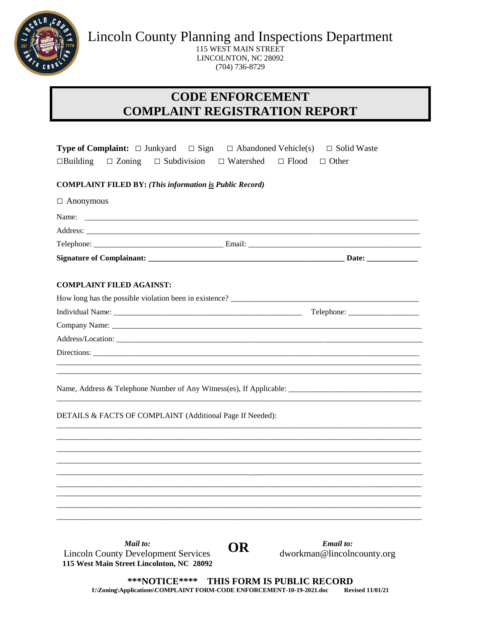

**Lincoln County Planning and Inspections Department** 

115 WEST MAIN STREET LINCOLNTON, NC 28092  $(704)$  736-8729

## **CODE ENFORCEMENT COMPLAINT REGISTRATION REPORT**

| <b>Type of Complaint:</b> $\Box$ Junkyard $\Box$ Sign $\Box$ Abandoned Vehicle(s)                                                                                                                                              | □ Solid Waste                |  |  |
|--------------------------------------------------------------------------------------------------------------------------------------------------------------------------------------------------------------------------------|------------------------------|--|--|
| $\Box$ Zoning<br>$\Box$ Subdivision $\Box$ Watershed<br>$\Box$ Building                                                                                                                                                        | $\Box$ Flood<br>$\Box$ Other |  |  |
| <b>COMPLAINT FILED BY:</b> (This information is Public Record)                                                                                                                                                                 |                              |  |  |
| $\Box$ Anonymous                                                                                                                                                                                                               |                              |  |  |
| Name:                                                                                                                                                                                                                          |                              |  |  |
| Address: the contract of the contract of the contract of the contract of the contract of the contract of the contract of the contract of the contract of the contract of the contract of the contract of the contract of the c |                              |  |  |
|                                                                                                                                                                                                                                |                              |  |  |
|                                                                                                                                                                                                                                |                              |  |  |
|                                                                                                                                                                                                                                |                              |  |  |
| <b>COMPLAINT FILED AGAINST:</b>                                                                                                                                                                                                |                              |  |  |
| How long has the possible violation been in existence? __________________________                                                                                                                                              |                              |  |  |
|                                                                                                                                                                                                                                | Telephone:                   |  |  |
|                                                                                                                                                                                                                                |                              |  |  |
|                                                                                                                                                                                                                                |                              |  |  |
|                                                                                                                                                                                                                                |                              |  |  |
|                                                                                                                                                                                                                                |                              |  |  |
|                                                                                                                                                                                                                                |                              |  |  |
|                                                                                                                                                                                                                                |                              |  |  |
| DETAILS & FACTS OF COMPLAINT (Additional Page If Needed):                                                                                                                                                                      |                              |  |  |
|                                                                                                                                                                                                                                |                              |  |  |
|                                                                                                                                                                                                                                |                              |  |  |
|                                                                                                                                                                                                                                |                              |  |  |
|                                                                                                                                                                                                                                |                              |  |  |
|                                                                                                                                                                                                                                |                              |  |  |
|                                                                                                                                                                                                                                |                              |  |  |
|                                                                                                                                                                                                                                |                              |  |  |
|                                                                                                                                                                                                                                |                              |  |  |
| Mail to:<br>)R                                                                                                                                                                                                                 | <b>Email</b> to:             |  |  |

**Lincoln County Development Services** 115 West Main Street Lincolnton, NC 28092 **UN** 

dworkman@lincolncounty.org

\*\*\*NOTICE\*\*\*\* THIS FORM IS PUBLIC RECORD I:\Zoning\Applications\COMPLAINT FORM-CODE ENFORCEMENT-10-19-2021.doc **Revised 11/01/21**